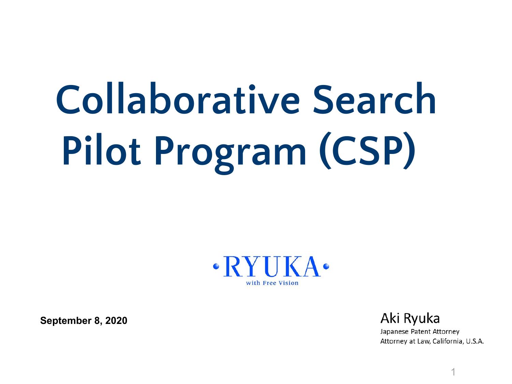# **Collaborative Search Pilot Program (CSP)**



**September 8, 2020**

Aki Ryuka Japanese Patent Attorney Attorney at Law, California, U.S.A.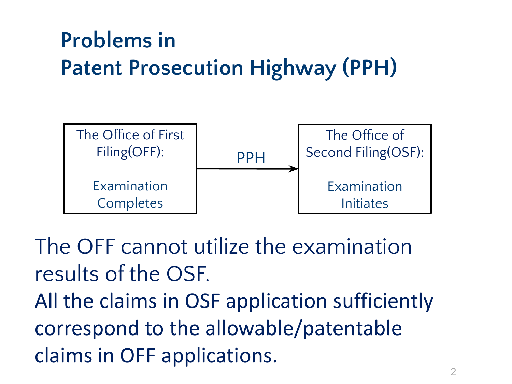#### **Problems in Patent Prosecution Highway (PPH)**



The OFF cannot utilize the examination results of the OSF.

All the claims in OSF application sufficiently correspond to the allowable/patentable claims in OFF applications.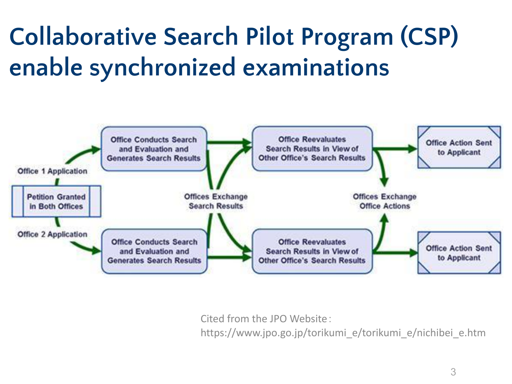#### **Collaborative Search Pilot Program (CSP) enable synchronized examinations**



Cited from the JPO Website:

https://www.jpo.go.jp/torikumi\_e/torikumi\_e/nichibei\_e.htm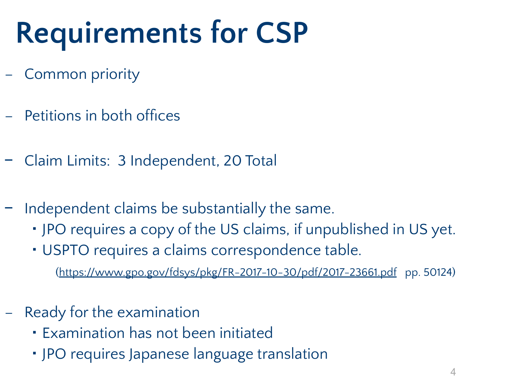## **Requirements for CSP**

- − Common priority
- − Petitions in both offices
- − Claim Limits: 3 Independent, 20 Total
- − Independent claims be substantially the same.
	- ・ JPO requires a copy of the US claims, if unpublished in US yet.
	- ・ USPTO requires a claims correspondence table.

(<https://www.gpo.gov/fdsys/pkg/FR-2017-10-30/pdf/2017-23661.pdf>pp. 50124)

- − Ready for the examination
	- ・ Examination has not been initiated
	- ・ JPO requires Japanese language translation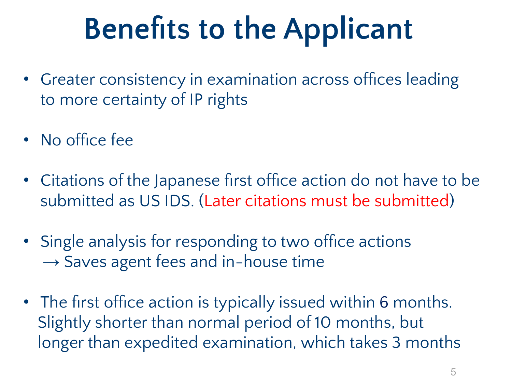## **Benefits to the Applicant**

- Greater consistency in examination across offices leading to more certainty of IP rights
- No office fee
- Citations of the Japanese first office action do not have to be submitted as US IDS. (Later citations must be submitted)
- Single analysis for responding to two office actions  $\rightarrow$  Saves agent fees and in-house time
- The first office action is typically issued within 6 months. Slightly shorter than normal period of 10 months, but longer than expedited examination, which takes 3 months